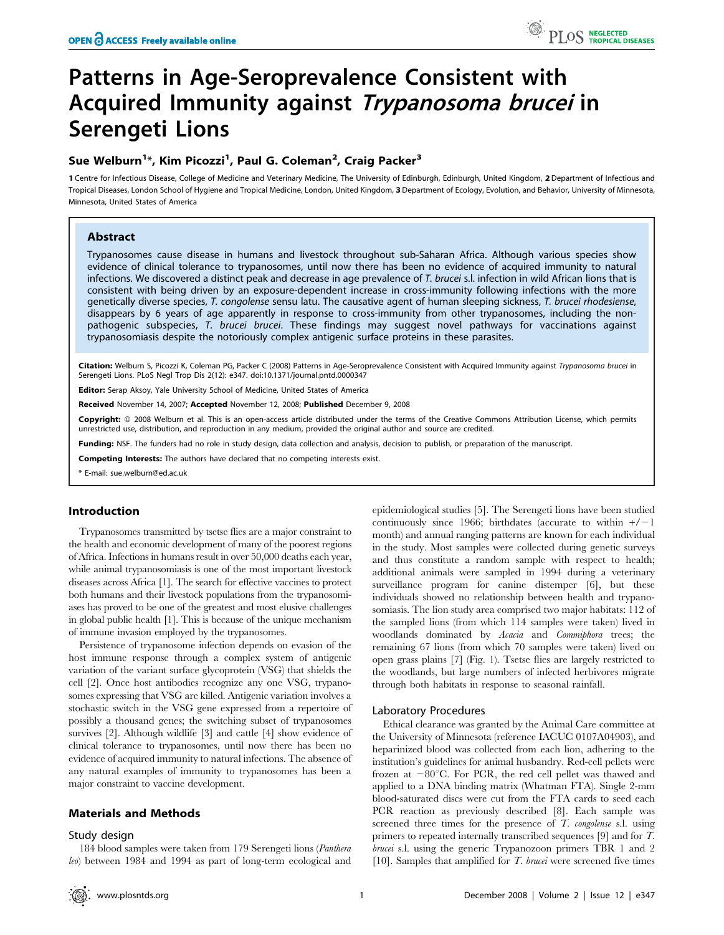# Patterns in Age-Seroprevalence Consistent with Acquired Immunity against Trypanosoma brucei in Serengeti Lions

# Sue Welburn<sup>1</sup>\*, Kim Picozzi<sup>1</sup>, Paul G. Coleman<sup>2</sup>, Craig Packer<sup>3</sup>

1 Centre for Infectious Disease, College of Medicine and Veterinary Medicine, The University of Edinburgh, Edinburgh, United Kingdom, 2Department of Infectious and Tropical Diseases, London School of Hygiene and Tropical Medicine, London, United Kingdom, 3 Department of Ecology, Evolution, and Behavior, University of Minnesota, Minnesota, United States of America

# Abstract

Trypanosomes cause disease in humans and livestock throughout sub-Saharan Africa. Although various species show evidence of clinical tolerance to trypanosomes, until now there has been no evidence of acquired immunity to natural infections. We discovered a distinct peak and decrease in age prevalence of T. brucei s.l. infection in wild African lions that is consistent with being driven by an exposure-dependent increase in cross-immunity following infections with the more genetically diverse species, T. congolense sensu latu. The causative agent of human sleeping sickness, T. brucei rhodesiense, disappears by 6 years of age apparently in response to cross-immunity from other trypanosomes, including the nonpathogenic subspecies, T. brucei brucei. These findings may suggest novel pathways for vaccinations against trypanosomiasis despite the notoriously complex antigenic surface proteins in these parasites.

Citation: Welburn S, Picozzi K, Coleman PG, Packer C (2008) Patterns in Age-Seroprevalence Consistent with Acquired Immunity against Trypanosoma brucei in Serengeti Lions. PLoS Negl Trop Dis 2(12): e347. doi:10.1371/journal.pntd.0000347

Editor: Serap Aksoy, Yale University School of Medicine, United States of America

Received November 14, 2007; Accepted November 12, 2008; Published December 9, 2008

Copyright: @ 2008 Welburn et al. This is an open-access article distributed under the terms of the Creative Commons Attribution License, which permits unrestricted use, distribution, and reproduction in any medium, provided the original author and source are credited.

Funding: NSF. The funders had no role in study design, data collection and analysis, decision to publish, or preparation of the manuscript.

Competing Interests: The authors have declared that no competing interests exist.

\* E-mail: sue.welburn@ed.ac.uk

## Introduction

Trypanosomes transmitted by tsetse flies are a major constraint to the health and economic development of many of the poorest regions of Africa. Infections in humans result in over 50,000 deaths each year, while animal trypanosomiasis is one of the most important livestock diseases across Africa [1]. The search for effective vaccines to protect both humans and their livestock populations from the trypanosomiases has proved to be one of the greatest and most elusive challenges in global public health [1]. This is because of the unique mechanism of immune invasion employed by the trypanosomes.

Persistence of trypanosome infection depends on evasion of the host immune response through a complex system of antigenic variation of the variant surface glycoprotein (VSG) that shields the cell [2]. Once host antibodies recognize any one VSG, trypanosomes expressing that VSG are killed. Antigenic variation involves a stochastic switch in the VSG gene expressed from a repertoire of possibly a thousand genes; the switching subset of trypanosomes survives [2]. Although wildlife [3] and cattle [4] show evidence of clinical tolerance to trypanosomes, until now there has been no evidence of acquired immunity to natural infections. The absence of any natural examples of immunity to trypanosomes has been a major constraint to vaccine development.

#### Materials and Methods

#### Study design

184 blood samples were taken from 179 Serengeti lions (Panthera leo) between 1984 and 1994 as part of long-term ecological and epidemiological studies [5]. The Serengeti lions have been studied continuously since 1966; birthdates (accurate to within  $+/-1$ ) month) and annual ranging patterns are known for each individual in the study. Most samples were collected during genetic surveys and thus constitute a random sample with respect to health; additional animals were sampled in 1994 during a veterinary surveillance program for canine distemper [6], but these individuals showed no relationship between health and trypanosomiasis. The lion study area comprised two major habitats: 112 of the sampled lions (from which 114 samples were taken) lived in woodlands dominated by Acacia and Commiphora trees; the remaining 67 lions (from which 70 samples were taken) lived on open grass plains [7] (Fig. 1). Tsetse flies are largely restricted to the woodlands, but large numbers of infected herbivores migrate through both habitats in response to seasonal rainfall.

#### Laboratory Procedures

Ethical clearance was granted by the Animal Care committee at the University of Minnesota (reference IACUC 0107A04903), and heparinized blood was collected from each lion, adhering to the institution's guidelines for animal husbandry. Red-cell pellets were frozen at  $-80^{\circ}$ C. For PCR, the red cell pellet was thawed and applied to a DNA binding matrix (Whatman FTA). Single 2-mm blood-saturated discs were cut from the FTA cards to seed each PCR reaction as previously described [8]. Each sample was screened three times for the presence of T. congolense s.l. using primers to repeated internally transcribed sequences [9] and for T. brucei s.l. using the generic Trypanozoon primers TBR 1 and 2 [10]. Samples that amplified for T. brucei were screened five times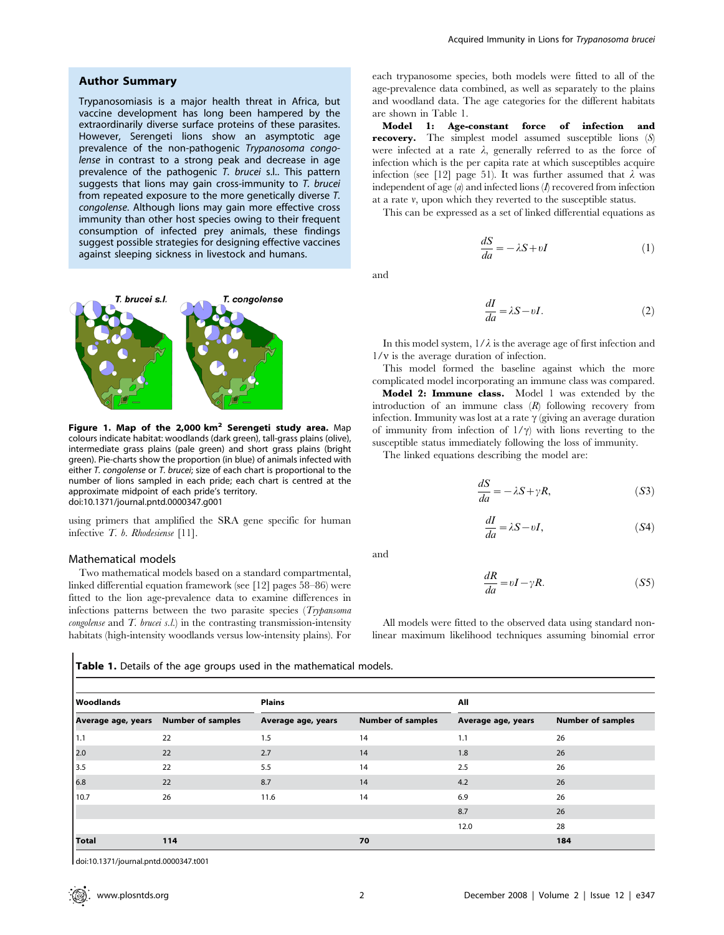### Author Summary

Trypanosomiasis is a major health threat in Africa, but vaccine development has long been hampered by the extraordinarily diverse surface proteins of these parasites. However, Serengeti lions show an asymptotic age prevalence of the non-pathogenic Trypanosoma congolense in contrast to a strong peak and decrease in age prevalence of the pathogenic T. brucei s.l.. This pattern suggests that lions may gain cross-immunity to T. brucei from repeated exposure to the more genetically diverse T. congolense. Although lions may gain more effective cross immunity than other host species owing to their frequent consumption of infected prey animals, these findings suggest possible strategies for designing effective vaccines against sleeping sickness in livestock and humans.



Figure 1. Map of the 2,000  $km^2$  Serengeti study area. Map colours indicate habitat: woodlands (dark green), tall-grass plains (olive), intermediate grass plains (pale green) and short grass plains (bright green). Pie-charts show the proportion (in blue) of animals infected with either T. congolense or T. brucei; size of each chart is proportional to the number of lions sampled in each pride; each chart is centred at the approximate midpoint of each pride's territory. doi:10.1371/journal.pntd.0000347.g001

using primers that amplified the SRA gene specific for human infective T. b. Rhodesiense [11].

#### Mathematical models

Two mathematical models based on a standard compartmental, linked differential equation framework (see [12] pages 58–86) were fitted to the lion age-prevalence data to examine differences in infections patterns between the two parasite species (Trypansoma *congolense* and  $T$ . *brucei s.l.*) in the contrasting transmission-intensity habitats (high-intensity woodlands versus low-intensity plains). For each trypanosome species, both models were fitted to all of the age-prevalence data combined, as well as separately to the plains and woodland data. The age categories for the different habitats are shown in Table 1.

Model 1: Age-constant force of infection and recovery. The simplest model assumed susceptible lions (S) were infected at a rate  $\lambda$ , generally referred to as the force of infection which is the per capita rate at which susceptibles acquire infection (see [12] page 51). It was further assumed that  $\lambda$  was independent of age  $(a)$  and infected lions  $(I)$  recovered from infection at a rate  $\nu$ , upon which they reverted to the susceptible status.

This can be expressed as a set of linked differential equations as

$$
\frac{dS}{da} = -\lambda S + vI \tag{1}
$$

and

$$
\frac{dI}{da} = \lambda S - vI.
$$
 (2)

In this model system,  $1/\lambda$  is the average age of first infection and  $1/v$  is the average duration of infection.

This model formed the baseline against which the more complicated model incorporating an immune class was compared.

Model 2: Immune class. Model 1 was extended by the introduction of an immune class  $(R)$  following recovery from infection. Immunity was lost at a rate  $\gamma$  (giving an average duration of immunity from infection of  $1/\gamma$  with lions reverting to the susceptible status immediately following the loss of immunity.

The linked equations describing the model are:

$$
\frac{dS}{da} = -\lambda S + \gamma R, \tag{S3}
$$

$$
\frac{dI}{da} = \lambda S - vI,\tag{S4}
$$

and

$$
\frac{dR}{da} = vI - \gamma R. \tag{S5}
$$

All models were fitted to the observed data using standard nonlinear maximum likelihood techniques assuming binomial error

Table 1. Details of the age groups used in the mathematical models.

| <b>Woodlands</b>   |                          | <b>Plains</b>      |                          | All                |                          |  |
|--------------------|--------------------------|--------------------|--------------------------|--------------------|--------------------------|--|
| Average age, years | <b>Number of samples</b> | Average age, years | <b>Number of samples</b> | Average age, years | <b>Number of samples</b> |  |
| 1.1                | 22                       | 1.5                | 14                       | 1.1                | 26                       |  |
| 2.0                | 22                       | 2.7                | 14                       | 1.8                | 26                       |  |
| 3.5                | 22                       | 5.5                | 14                       | 2.5                | 26                       |  |
| 6.8                | 22                       | 8.7                | 14                       | 4.2                | 26                       |  |
| 10.7               | 26                       | 11.6               | 14                       | 6.9                | 26                       |  |
|                    |                          |                    |                          | 8.7                | 26                       |  |
|                    |                          |                    |                          | 12.0               | 28                       |  |
| <b>Total</b>       | 114                      |                    | 70                       |                    | 184                      |  |

doi:10.1371/journal.pntd.0000347.t001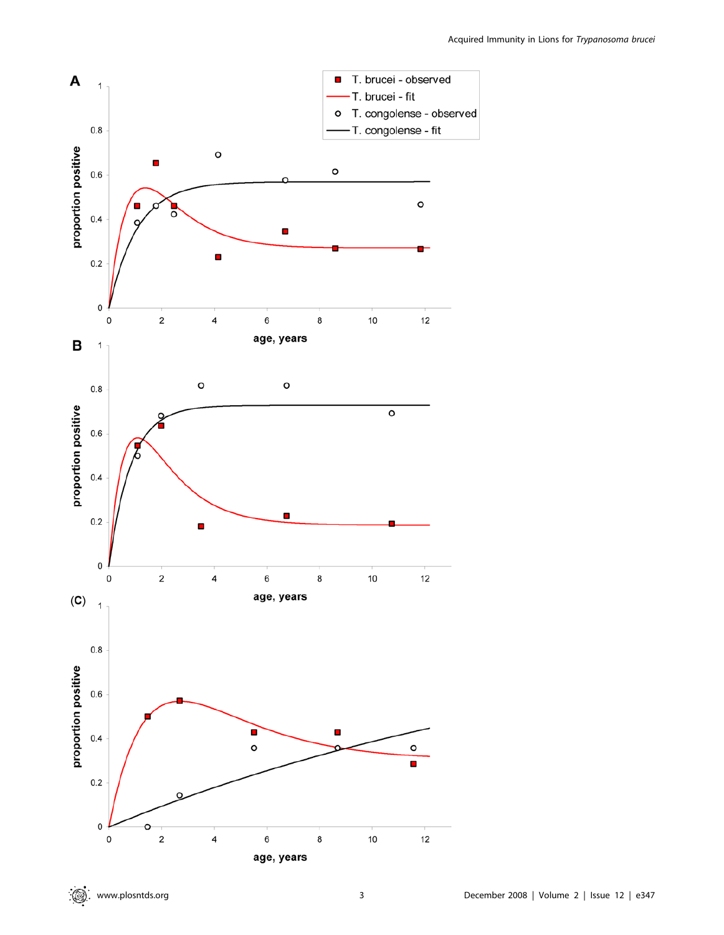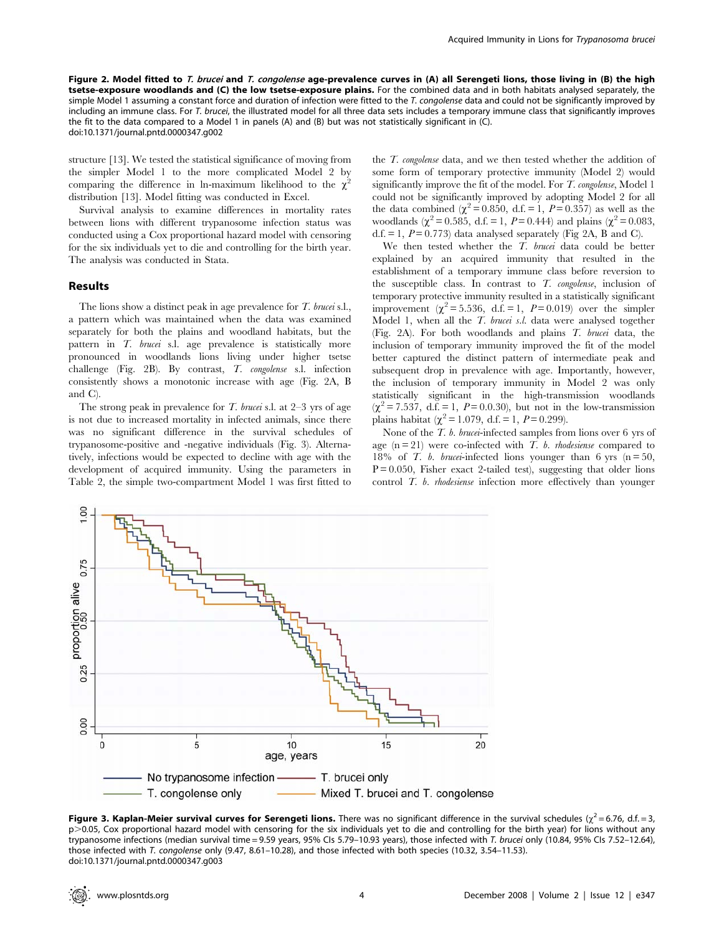Figure 2. Model fitted to T. brucei and T. congolense age-prevalence curves in (A) all Serengeti lions, those living in (B) the high tsetse-exposure woodlands and (C) the low tsetse-exposure plains. For the combined data and in both habitats analysed separately, the simple Model 1 assuming a constant force and duration of infection were fitted to the T. congolense data and could not be significantly improved by including an immune class. For T. brucei, the illustrated model for all three data sets includes a temporary immune class that significantly improves the fit to the data compared to a Model 1 in panels (A) and (B) but was not statistically significant in (C). doi:10.1371/journal.pntd.0000347.g002

structure [13]. We tested the statistical significance of moving from the simpler Model 1 to the more complicated Model 2 by comparing the difference in ln-maximum likelihood to the  $\chi^2$ distribution [13]. Model fitting was conducted in Excel.

Survival analysis to examine differences in mortality rates between lions with different trypanosome infection status was conducted using a Cox proportional hazard model with censoring for the six individuals yet to die and controlling for the birth year. The analysis was conducted in Stata.

#### Results

The lions show a distinct peak in age prevalence for T. brucei s.l., a pattern which was maintained when the data was examined separately for both the plains and woodland habitats, but the pattern in T. brucei s.l. age prevalence is statistically more pronounced in woodlands lions living under higher tsetse challenge (Fig. 2B). By contrast, T. congolense s.l. infection consistently shows a monotonic increase with age (Fig. 2A, B and C).

The strong peak in prevalence for  $T$ . brucei s.l. at 2–3 yrs of age is not due to increased mortality in infected animals, since there was no significant difference in the survival schedules of trypanosome-positive and -negative individuals (Fig. 3). Alternatively, infections would be expected to decline with age with the development of acquired immunity. Using the parameters in Table 2, the simple two-compartment Model 1 was first fitted to

the T. congolense data, and we then tested whether the addition of some form of temporary protective immunity (Model 2) would significantly improve the fit of the model. For T. congolense, Model 1 could not be significantly improved by adopting Model 2 for all the data combined ( $\chi^2$  = 0.850, d.f. = 1, P = 0.357) as well as the woodlands ( $\chi^2$  = 0.585, d.f. = 1, P = 0.444) and plains ( $\chi^2$  = 0.083, d.f. = 1,  $P = 0.773$ ) data analysed separately (Fig 2A, B and C).

We then tested whether the  $T$ . brucei data could be better explained by an acquired immunity that resulted in the establishment of a temporary immune class before reversion to the susceptible class. In contrast to  $T$ . congolense, inclusion of temporary protective immunity resulted in a statistically significant improvement ( $\chi^2$  = 5.536, d.f. = 1, P = 0.019) over the simpler Model 1, when all the T. brucei s.l. data were analysed together (Fig. 2A). For both woodlands and plains T. brucei data, the inclusion of temporary immunity improved the fit of the model better captured the distinct pattern of intermediate peak and subsequent drop in prevalence with age. Importantly, however, the inclusion of temporary immunity in Model 2 was only statistically significant in the high-transmission woodlands  $(\chi^2 = 7.537, d.f. = 1, P = 0.0.30)$ , but not in the low-transmission plains habitat ( $\chi^2$  = 1.079, d.f. = 1, P = 0.299).

None of the T. b. brucei-infected samples from lions over 6 yrs of age  $(n = 21)$  were co-infected with T. b. *rhodesiense* compared to 18% of T. b. brucei-infected lions younger than 6 yrs ( $n = 50$ ,  $P = 0.050$ , Fisher exact 2-tailed test), suggesting that older lions control T. b. rhodesiense infection more effectively than younger



Figure 3. Kaplan-Meier survival curves for Serengeti lions. There was no significant difference in the survival schedules ( $\chi^2$  = 6.76, d.f. = 3, p.0.05, Cox proportional hazard model with censoring for the six individuals yet to die and controlling for the birth year) for lions without any trypanosome infections (median survival time = 9.59 years, 95% CIs 5.79–10.93 years), those infected with T. brucei only (10.84, 95% CIs 7.52–12.64), those infected with T. congolense only (9.47, 8.61–10.28), and those infected with both species (10.32, 3.54–11.53). doi:10.1371/journal.pntd.0000347.g003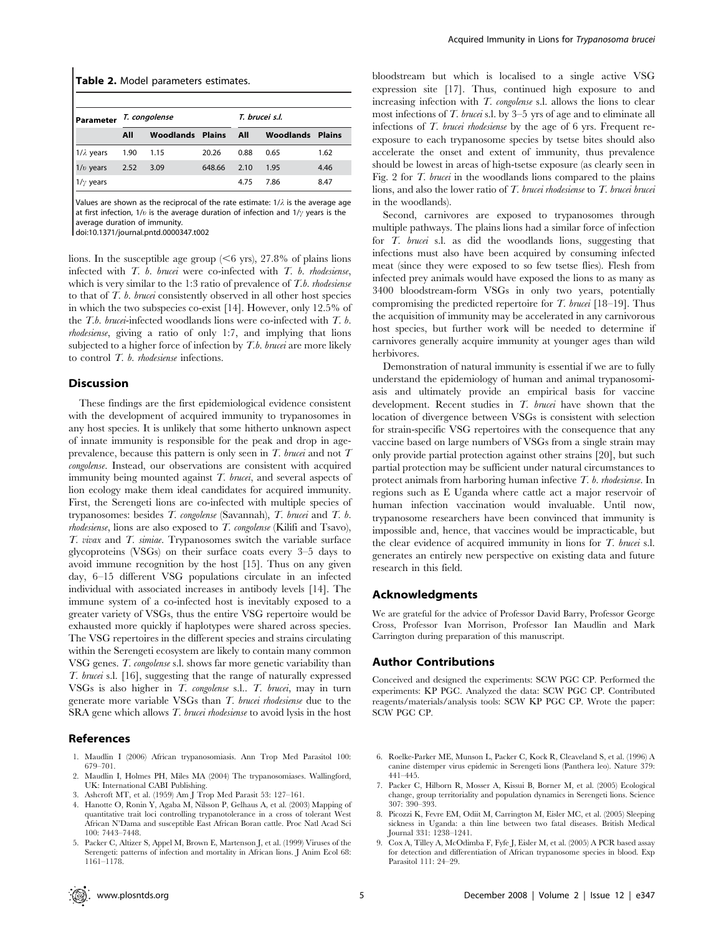| <b>Table 2.</b> Model parameters estimates. |               |                         |        |                |                         |      |  |  |  |  |  |
|---------------------------------------------|---------------|-------------------------|--------|----------------|-------------------------|------|--|--|--|--|--|
|                                             |               |                         |        |                |                         |      |  |  |  |  |  |
| <b>Parameter</b>                            | T. congolense |                         |        | T. brucei s.l. |                         |      |  |  |  |  |  |
|                                             | All           | <b>Woodlands Plains</b> |        | All            | <b>Woodlands Plains</b> |      |  |  |  |  |  |
| $1/\lambda$ years                           | 1.90          | 1.15                    | 20.26  | 0.88           | 0.65                    | 1.62 |  |  |  |  |  |
| $1/v$ years                                 | 2.52          | 3.09                    | 648.66 | 2.10           | 1.95                    | 4.46 |  |  |  |  |  |
| $1/\gamma$ years                            |               |                         |        | 4.75           | 7.86                    | 8.47 |  |  |  |  |  |

Values are shown as the reciprocal of the rate estimate:  $1/\lambda$  is the average age at first infection,  $1/v$  is the average duration of infection and  $1/\gamma$  years is the average duration of immunity.

doi:10.1371/journal.pntd.0000347.t002

lions. In the susceptible age group  $(< 6$  yrs), 27.8% of plains lions infected with T. b. brucei were co-infected with T. b. rhodesiense, which is very similar to the 1:3 ratio of prevalence of  $T.b.$  *rhodesiense* to that of T. b. brucei consistently observed in all other host species in which the two subspecies co-exist [14]. However, only 12.5% of the  $T.b.$  brucei-infected woodlands lions were co-infected with  $T.$   $b.$ rhodesiense, giving a ratio of only 1:7, and implying that lions subjected to a higher force of infection by  $T.b.$  brucei are more likely to control T. b. rhodesiense infections.

#### Discussion

These findings are the first epidemiological evidence consistent with the development of acquired immunity to trypanosomes in any host species. It is unlikely that some hitherto unknown aspect of innate immunity is responsible for the peak and drop in ageprevalence, because this pattern is only seen in  $T$ . brucei and not  $T$ congolense. Instead, our observations are consistent with acquired immunity being mounted against T. brucei, and several aspects of lion ecology make them ideal candidates for acquired immunity. First, the Serengeti lions are co-infected with multiple species of trypanosomes: besides T. congolense (Savannah), T. brucei and T. b.  $r$ hodesiense, lions are also exposed to  $T$ . congolense (Kilifi and Tsavo), T. vivax and T. simiae. Trypanosomes switch the variable surface glycoproteins (VSGs) on their surface coats every 3–5 days to avoid immune recognition by the host [15]. Thus on any given day, 6–15 different VSG populations circulate in an infected individual with associated increases in antibody levels [14]. The immune system of a co-infected host is inevitably exposed to a greater variety of VSGs, thus the entire VSG repertoire would be exhausted more quickly if haplotypes were shared across species. The VSG repertoires in the different species and strains circulating within the Serengeti ecosystem are likely to contain many common VSG genes. T. congolense s.l. shows far more genetic variability than T. brucei s.l. [16], suggesting that the range of naturally expressed VSGs is also higher in T. congolense s.l.. T. brucei, may in turn generate more variable VSGs than T. brucei rhodesiense due to the SRA gene which allows T. brucei rhodesiense to avoid lysis in the host

#### References

- 1. Maudlin I (2006) African trypanosomiasis. Ann Trop Med Parasitol 100: 679–701.
- 2. Maudlin I, Holmes PH, Miles MA (2004) The trypanosomiases. Wallingford, UK: International CABI Publishing.
- 3. Ashcroft MT, et al. (1959) Am J Trop Med Parasit 53: 127–161.
- 4. Hanotte O, Ronin Y, Agaba M, Nilsson P, Gelhaus A, et al. (2003) Mapping of quantitative trait loci controlling trypanotolerance in a cross of tolerant West African N'Dama and susceptible East African Boran cattle. Proc Natl Acad Sci 100: 7443–7448.
- 5. Packer C, Altizer S, Appel M, Brown E, Martenson J, et al. (1999) Viruses of the Serengeti: patterns of infection and mortality in African lions. J Anim Ecol 68: 1161–1178.

bloodstream but which is localised to a single active VSG expression site [17]. Thus, continued high exposure to and increasing infection with T. *congolense* s.l. allows the lions to clear most infections of T. brucei s.l. by 3–5 yrs of age and to eliminate all infections of T. brucei rhodesiense by the age of 6 yrs. Frequent reexposure to each trypanosome species by tsetse bites should also accelerate the onset and extent of immunity, thus prevalence should be lowest in areas of high-tsetse exposure (as clearly seen in Fig. 2 for T. brucei in the woodlands lions compared to the plains lions, and also the lower ratio of  $T$ . brucei rhodesiense to  $T$ . brucei brucei in the woodlands).

Second, carnivores are exposed to trypanosomes through multiple pathways. The plains lions had a similar force of infection for *T. brucei* s.l. as did the woodlands lions, suggesting that infections must also have been acquired by consuming infected meat (since they were exposed to so few tsetse flies). Flesh from infected prey animals would have exposed the lions to as many as 3400 bloodstream-form VSGs in only two years, potentially compromising the predicted repertoire for  $T$ . brucei [18–19]. Thus the acquisition of immunity may be accelerated in any carnivorous host species, but further work will be needed to determine if carnivores generally acquire immunity at younger ages than wild herbivores.

Demonstration of natural immunity is essential if we are to fully understand the epidemiology of human and animal trypanosomiasis and ultimately provide an empirical basis for vaccine development. Recent studies in T. brucei have shown that the location of divergence between VSGs is consistent with selection for strain-specific VSG repertoires with the consequence that any vaccine based on large numbers of VSGs from a single strain may only provide partial protection against other strains [20], but such partial protection may be sufficient under natural circumstances to protect animals from harboring human infective T. b. rhodesiense. In regions such as E Uganda where cattle act a major reservoir of human infection vaccination would invaluable. Until now, trypanosome researchers have been convinced that immunity is impossible and, hence, that vaccines would be impracticable, but the clear evidence of acquired immunity in lions for  $T$ . brucei s.l. generates an entirely new perspective on existing data and future research in this field.

#### Acknowledgments

We are grateful for the advice of Professor David Barry, Professor George Cross, Professor Ivan Morrison, Professor Ian Maudlin and Mark Carrington during preparation of this manuscript.

#### Author Contributions

Conceived and designed the experiments: SCW PGC CP. Performed the experiments: KP PGC. Analyzed the data: SCW PGC CP. Contributed reagents/materials/analysis tools: SCW KP PGC CP. Wrote the paper: SCW PGC CP.

- 6. Roelke-Parker ME, Munson L, Packer C, Kock R, Cleaveland S, et al. (1996) A canine distemper virus epidemic in Serengeti lions (Panthera leo). Nature 379: 441–445.
- 7. Packer C, Hilborn R, Mosser A, Kissui B, Borner M, et al. (2005) Ecological change, group territoriality and population dynamics in Serengeti lions. Science 307: 390–393.
- 8. Picozzi K, Fevre EM, Odiit M, Carrington M, Eisler MC, et al. (2005) Sleeping sickness in Uganda: a thin line between two fatal diseases. British Medical Journal 331: 1238–1241.
- 9. Cox A, Tilley A, McOdimba F, Fyfe J, Eisler M, et al. (2005) A PCR based assay for detection and differentiation of African trypanosome species in blood. Exp Parasitol 111: 24–29.